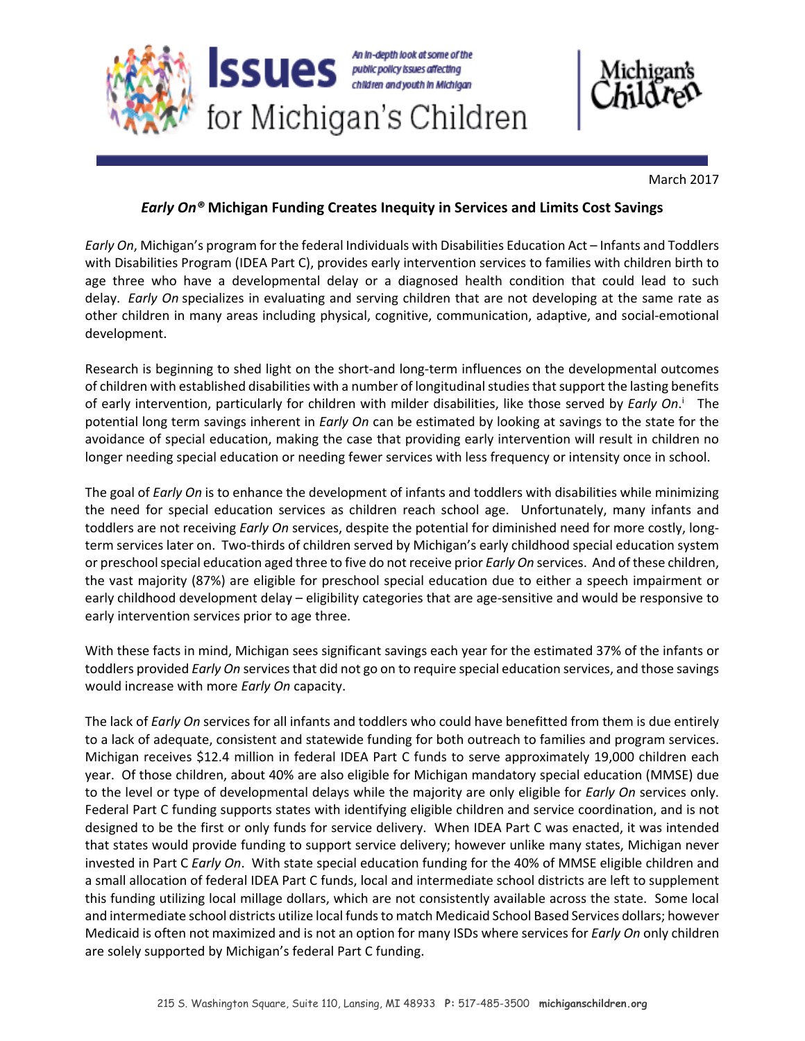



March 2017

## *Early On®* **Michigan Funding Creates Inequity in Services and Limits Cost Savings**

*Early On*, Michigan's program for the federal Individuals with Disabilities Education Act – Infants and Toddlers with Disabilities Program (IDEA Part C), provides early intervention services to families with children birth to age three who have a developmental delay or a diagnosed health condition that could lead to such delay. *Early On* specializes in evaluating and serving children that are not developing at the same rate as other children in many areas including physical, cognitive, communication, adaptive, and social‐emotional development.

Research is beginning to shed light on the short-and long-term influences on the developmental outcomes of children with established disabilities with a number of longitudinal studies that support the lasting benefits of early intervention, particularly for children with milder disabilities, like those served by *Early On.*<sup>1</sup> The potential long term savings inherent in *Early On* can be estimated by looking at savings to the state for the avoidance of special education, making the case that providing early intervention will result in children no longer needing special education or needing fewer services with less frequency or intensity once in school.

The goal of *Early On* is to enhance the development of infants and toddlers with disabilities while minimizing the need for special education services as children reach school age. Unfortunately, many infants and toddlers are not receiving *Early On* services, despite the potential for diminished need for more costly, long‐ term services later on. Two-thirds of children served by Michigan's early childhood special education system or preschool special education aged three to five do not receive prior *Early On* services. And of these children, the vast majority (87%) are eligible for preschool special education due to either a speech impairment or early childhood development delay – eligibility categories that are age‐sensitive and would be responsive to early intervention services prior to age three.

With these facts in mind, Michigan sees significant savings each year for the estimated 37% of the infants or toddlers provided *Early On* services that did not go on to require special education services, and those savings would increase with more *Early On* capacity.

The lack of *Early On* services for all infants and toddlers who could have benefitted from them is due entirely to a lack of adequate, consistent and statewide funding for both outreach to families and program services. Michigan receives \$12.4 million in federal IDEA Part C funds to serve approximately 19,000 children each year. Of those children, about 40% are also eligible for Michigan mandatory special education (MMSE) due to the level or type of developmental delays while the majority are only eligible for *Early On* services only. Federal Part C funding supports states with identifying eligible children and service coordination, and is not designed to be the first or only funds for service delivery. When IDEA Part C was enacted, it was intended that states would provide funding to support service delivery; however unlike many states, Michigan never invested in Part C *Early On*. With state special education funding for the 40% of MMSE eligible children and a small allocation of federal IDEA Part C funds, local and intermediate school districts are left to supplement this funding utilizing local millage dollars, which are not consistently available across the state. Some local and intermediate school districts utilize local funds to match Medicaid School Based Services dollars; however Medicaid is often not maximized and is not an option for many ISDs where services for *Early On* only children are solely supported by Michigan's federal Part C funding.